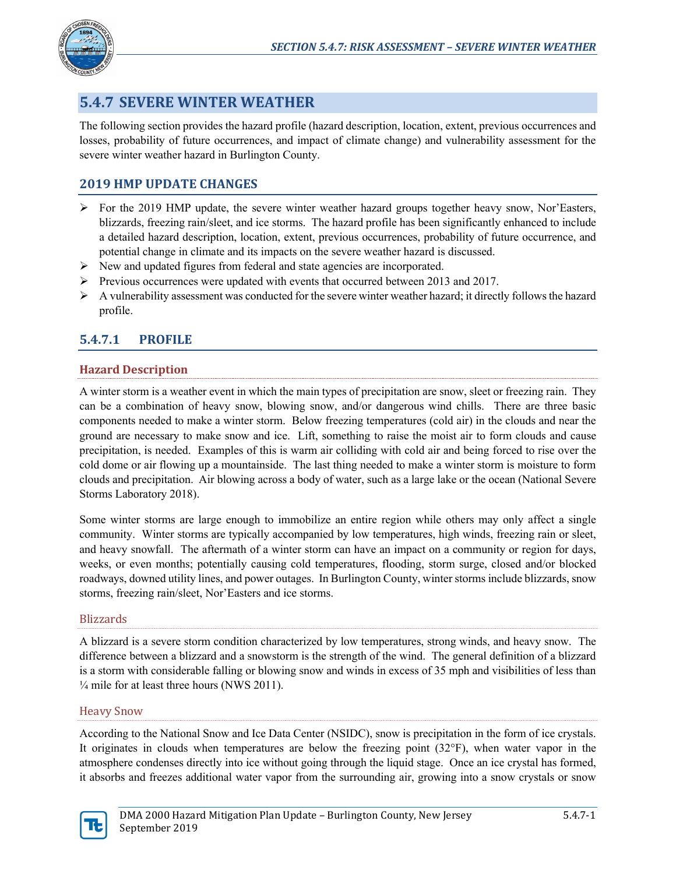

# **5.4.7 SEVERE WINTER WEATHER**

The following section provides the hazard profile (hazard description, location, extent, previous occurrences and losses, probability of future occurrences, and impact of climate change) and vulnerability assessment for the severe winter weather hazard in Burlington County.

# **2019 HMP UPDATE CHANGES**

- $\triangleright$  For the 2019 HMP update, the severe winter weather hazard groups together heavy snow, Nor'Easters, blizzards, freezing rain/sleet, and ice storms. The hazard profile has been significantly enhanced to include a detailed hazard description, location, extent, previous occurrences, probability of future occurrence, and potential change in climate and its impacts on the severe weather hazard is discussed.
- New and updated figures from federal and state agencies are incorporated.
- $\triangleright$  Previous occurrences were updated with events that occurred between 2013 and 2017.
- $\triangleright$  A vulnerability assessment was conducted for the severe winter weather hazard; it directly follows the hazard profile.

# **5.4.7.1 PROFILE**

# **Hazard Description**

A winter storm is a weather event in which the main types of precipitation are snow, sleet or freezing rain. They can be a combination of heavy snow, blowing snow, and/or dangerous wind chills. There are three basic components needed to make a winter storm. Below freezing temperatures (cold air) in the clouds and near the ground are necessary to make snow and ice. Lift, something to raise the moist air to form clouds and cause precipitation, is needed. Examples of this is warm air colliding with cold air and being forced to rise over the cold dome or air flowing up a mountainside. The last thing needed to make a winter storm is moisture to form clouds and precipitation. Air blowing across a body of water, such as a large lake or the ocean (National Severe Storms Laboratory 2018).

Some winter storms are large enough to immobilize an entire region while others may only affect a single community. Winter storms are typically accompanied by low temperatures, high winds, freezing rain or sleet, and heavy snowfall. The aftermath of a winter storm can have an impact on a community or region for days, weeks, or even months; potentially causing cold temperatures, flooding, storm surge, closed and/or blocked roadways, downed utility lines, and power outages. In Burlington County, winter storms include blizzards, snow storms, freezing rain/sleet, Nor'Easters and ice storms.

### Blizzards

A blizzard is a severe storm condition characterized by low temperatures, strong winds, and heavy snow. The difference between a blizzard and a snowstorm is the strength of the wind. The general definition of a blizzard is a storm with considerable falling or blowing snow and winds in excess of 35 mph and visibilities of less than ¼ mile for at least three hours (NWS 2011).

### Heavy Snow

According to the National Snow and Ice Data Center (NSIDC), snow is precipitation in the form of ice crystals. It originates in clouds when temperatures are below the freezing point  $(32^{\circ}F)$ , when water vapor in the atmosphere condenses directly into ice without going through the liquid stage. Once an ice crystal has formed, it absorbs and freezes additional water vapor from the surrounding air, growing into a snow crystals or snow

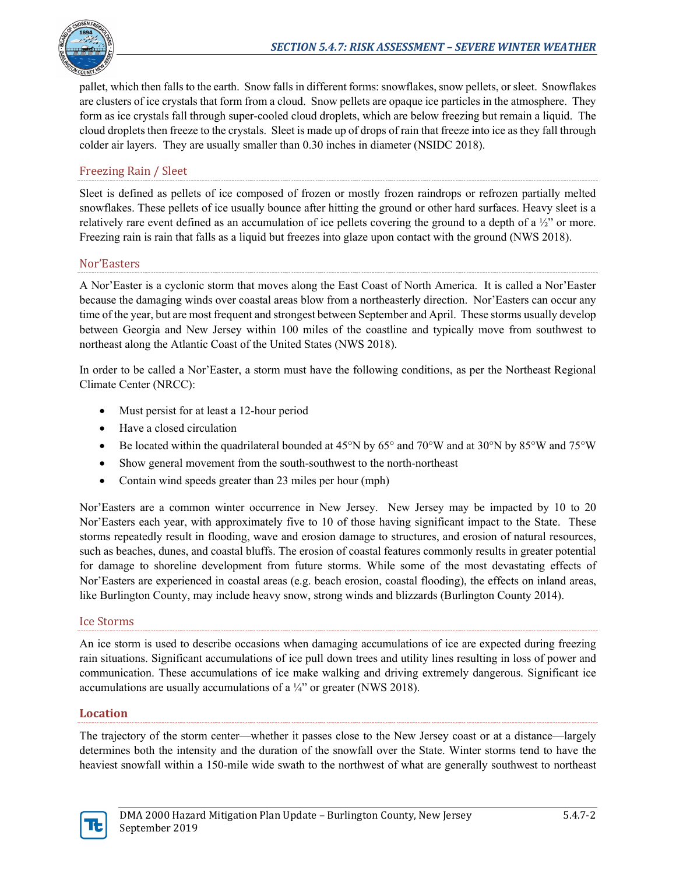

pallet, which then falls to the earth. Snow falls in different forms: snowflakes, snow pellets, or sleet. Snowflakes are clusters of ice crystals that form from a cloud. Snow pellets are opaque ice particles in the atmosphere. They form as ice crystals fall through super-cooled cloud droplets, which are below freezing but remain a liquid. The cloud droplets then freeze to the crystals. Sleet is made up of drops of rain that freeze into ice as they fall through colder air layers. They are usually smaller than 0.30 inches in diameter (NSIDC 2018).

## Freezing Rain / Sleet

Sleet is defined as pellets of ice composed of frozen or mostly frozen raindrops or refrozen partially melted snowflakes. These pellets of ice usually bounce after hitting the ground or other hard surfaces. Heavy sleet is a relatively rare event defined as an accumulation of ice pellets covering the ground to a depth of a ½" or more. Freezing rain is rain that falls as a liquid but freezes into glaze upon contact with the ground (NWS 2018).

### Nor'Easters

A Nor'Easter is a cyclonic storm that moves along the East Coast of North America. It is called a Nor'Easter because the damaging winds over coastal areas blow from a northeasterly direction. Nor'Easters can occur any time of the year, but are most frequent and strongest between September and April. These storms usually develop between Georgia and New Jersey within 100 miles of the coastline and typically move from southwest to northeast along the Atlantic Coast of the United States (NWS 2018).

In order to be called a Nor'Easter, a storm must have the following conditions, as per the Northeast Regional Climate Center (NRCC):

- Must persist for at least a 12-hour period
- Have a closed circulation
- Be located within the quadrilateral bounded at  $45^{\circ}$ N by  $65^{\circ}$  and  $70^{\circ}$ W and at  $30^{\circ}$ N by  $85^{\circ}$ W and  $75^{\circ}$ W
- Show general movement from the south-southwest to the north-northeast
- Contain wind speeds greater than 23 miles per hour (mph)

Nor'Easters are a common winter occurrence in New Jersey. New Jersey may be impacted by 10 to 20 Nor'Easters each year, with approximately five to 10 of those having significant impact to the State. These storms repeatedly result in flooding, wave and erosion damage to structures, and erosion of natural resources, such as beaches, dunes, and coastal bluffs. The erosion of coastal features commonly results in greater potential for damage to shoreline development from future storms. While some of the most devastating effects of Nor'Easters are experienced in coastal areas (e.g. beach erosion, coastal flooding), the effects on inland areas, like Burlington County, may include heavy snow, strong winds and blizzards (Burlington County 2014).

#### Ice Storms

An ice storm is used to describe occasions when damaging accumulations of ice are expected during freezing rain situations. Significant accumulations of ice pull down trees and utility lines resulting in loss of power and communication. These accumulations of ice make walking and driving extremely dangerous. Significant ice accumulations are usually accumulations of a  $\frac{1}{4}$ " or greater (NWS 2018).

### **Location**

The trajectory of the storm center—whether it passes close to the New Jersey coast or at a distance—largely determines both the intensity and the duration of the snowfall over the State. Winter storms tend to have the heaviest snowfall within a 150-mile wide swath to the northwest of what are generally southwest to northeast

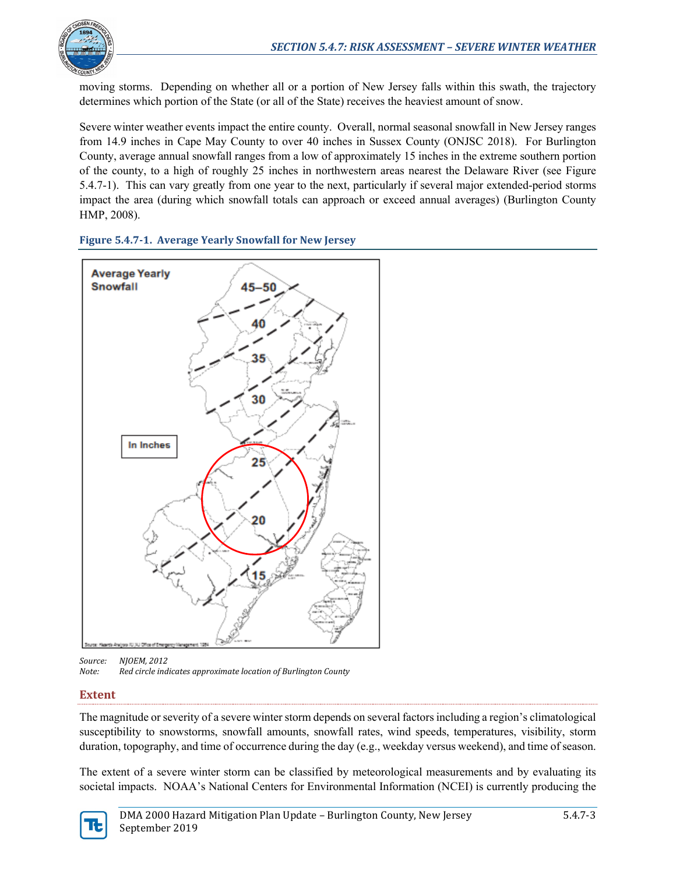

moving storms. Depending on whether all or a portion of New Jersey falls within this swath, the trajectory determines which portion of the State (or all of the State) receives the heaviest amount of snow.

Severe winter weather events impact the entire county. Overall, normal seasonal snowfall in New Jersey ranges from 14.9 inches in Cape May County to over 40 inches in Sussex County (ONJSC 2018). For Burlington County, average annual snowfall ranges from a low of approximately 15 inches in the extreme southern portion of the county, to a high of roughly 25 inches in northwestern areas nearest the Delaware River (see [Figure](#page-2-0)  [5.4.7-1\)](#page-2-0). This can vary greatly from one year to the next, particularly if several major extended-period storms impact the area (during which snowfall totals can approach or exceed annual averages) (Burlington County HMP, 2008).

<span id="page-2-0"></span>



*Source: NJOEM, 2012 Note: Red circle indicates approximate location of Burlington County*

# **Extent**

The magnitude or severity of a severe winter storm depends on several factors including a region's climatological susceptibility to snowstorms, snowfall amounts, snowfall rates, wind speeds, temperatures, visibility, storm duration, topography, and time of occurrence during the day (e.g., weekday versus weekend), and time of season.

The extent of a severe winter storm can be classified by meteorological measurements and by evaluating its societal impacts. NOAA's National Centers for Environmental Information (NCEI) is currently producing the

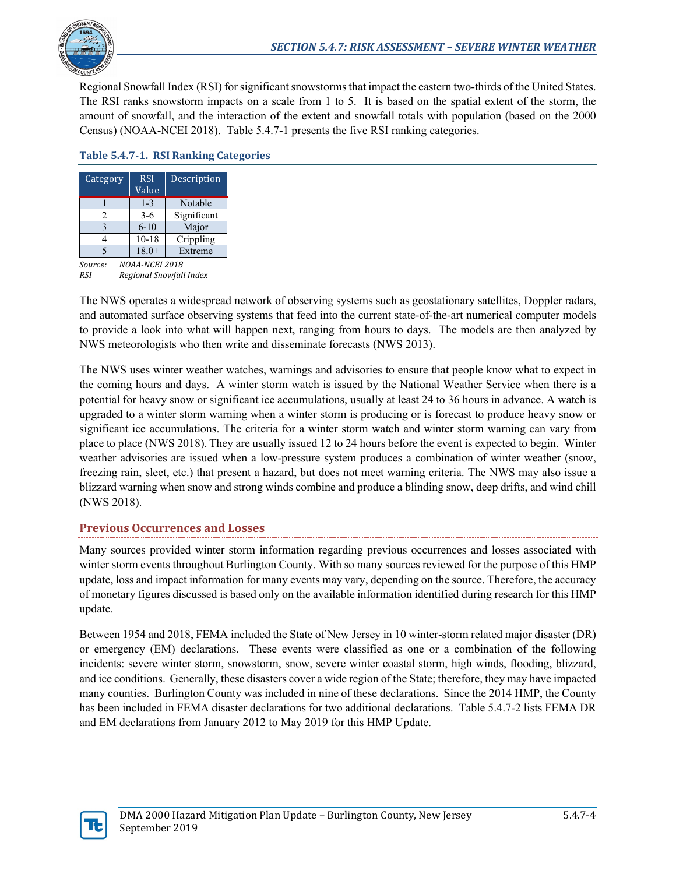

Regional Snowfall Index (RSI) for significant snowstorms that impact the eastern two-thirds of the United States. The RSI ranks snowstorm impacts on a scale from 1 to 5. It is based on the spatial extent of the storm, the amount of snowfall, and the interaction of the extent and snowfall totals with population (based on the 2000 Census) (NOAA-NCEI 2018). [Table 5.4.7-1](#page-3-0) presents the five RSI ranking categories.

| Category                  | <b>RSI</b><br>Value | Description |  |  |  |
|---------------------------|---------------------|-------------|--|--|--|
|                           | $1 - 3$             | Notable     |  |  |  |
| 2                         | $3-6$               | Significant |  |  |  |
|                           | $6 - 10$            | Major       |  |  |  |
|                           | $10 - 18$           | Crippling   |  |  |  |
| 5                         | $18.0+$             | Extreme     |  |  |  |
| NOAA-NCEI 2018<br>Source: |                     |             |  |  |  |

### <span id="page-3-0"></span>**Table 5.4.7-1. RSI Ranking Categories**

*RSI Regional Snowfall Index*

The NWS operates a widespread network of observing systems such as geostationary satellites, Doppler radars, and automated surface observing systems that feed into the current state-of-the-art numerical computer models to provide a look into what will happen next, ranging from hours to days. The models are then analyzed by NWS meteorologists who then write and disseminate forecasts (NWS 2013).

The NWS uses winter weather watches, warnings and advisories to ensure that people know what to expect in the coming hours and days. A winter storm watch is issued by the National Weather Service when there is a potential for heavy snow or significant ice accumulations, usually at least 24 to 36 hours in advance. A watch is upgraded to a winter storm warning when a winter storm is producing or is forecast to produce heavy snow or significant ice accumulations. The criteria for a winter storm watch and winter storm warning can vary from place to place (NWS 2018). They are usually issued 12 to 24 hours before the event is expected to begin. Winter weather advisories are issued when a low-pressure system produces a combination of winter weather (snow, freezing rain, sleet, etc.) that present a hazard, but does not meet warning criteria. The NWS may also issue a blizzard warning when snow and strong winds combine and produce a blinding snow, deep drifts, and wind chill (NWS 2018).

# **Previous Occurrences and Losses**

Many sources provided winter storm information regarding previous occurrences and losses associated with winter storm events throughout Burlington County. With so many sources reviewed for the purpose of this HMP update, loss and impact information for many events may vary, depending on the source. Therefore, the accuracy of monetary figures discussed is based only on the available information identified during research for this HMP update.

Between 1954 and 2018, FEMA included the State of New Jersey in 10 winter-storm related major disaster (DR) or emergency (EM) declarations. These events were classified as one or a combination of the following incidents: severe winter storm, snowstorm, snow, severe winter coastal storm, high winds, flooding, blizzard, and ice conditions. Generally, these disasters cover a wide region of the State; therefore, they may have impacted many counties. Burlington County was included in nine of these declarations. Since the 2014 HMP, the County has been included in FEMA disaster declarations for two additional declarations. [Table 5.4.7-2](#page-4-0) lists FEMA DR and EM declarations from January 2012 to May 2019 for this HMP Update.

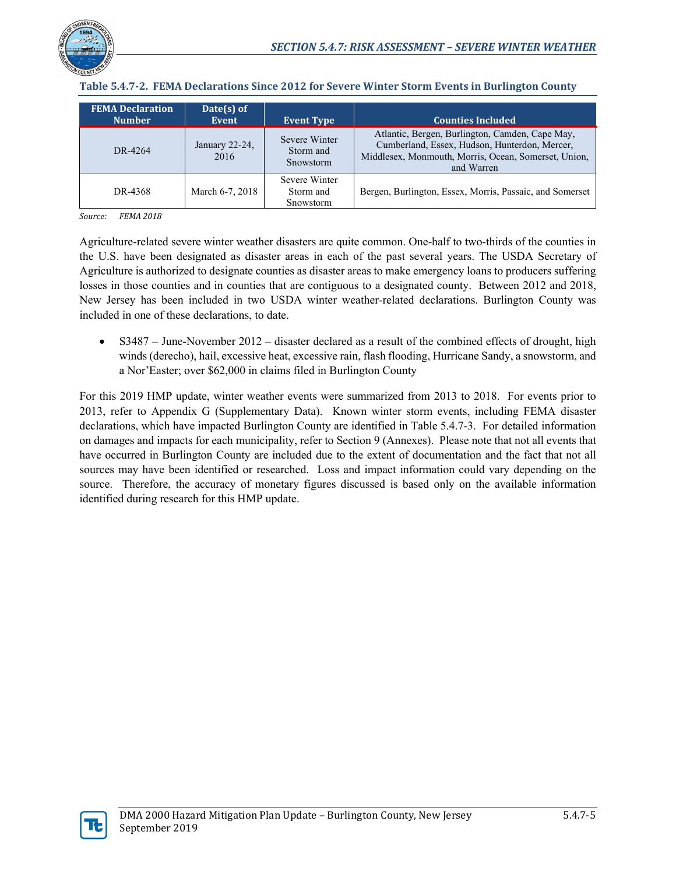

| <b>FEMA Declaration</b><br><b>Number</b> | Date(s) of<br>Event    | <b>Event Type</b>                       | <b>Counties Included</b>                                                                                                                                               |
|------------------------------------------|------------------------|-----------------------------------------|------------------------------------------------------------------------------------------------------------------------------------------------------------------------|
| DR-4264                                  | January 22-24,<br>2016 | Severe Winter<br>Storm and<br>Snowstorm | Atlantic, Bergen, Burlington, Camden, Cape May,<br>Cumberland, Essex, Hudson, Hunterdon, Mercer,<br>Middlesex, Monmouth, Morris, Ocean, Somerset, Union,<br>and Warren |
| DR-4368                                  | March 6-7, 2018        | Severe Winter<br>Storm and<br>Snowstorm | Bergen, Burlington, Essex, Morris, Passaic, and Somerset                                                                                                               |

#### <span id="page-4-0"></span>**Table 5.4.7-2. FEMA Declarations Since 2012 for Severe Winter Storm Events in Burlington County**

*Source: FEMA 2018*

Agriculture-related severe winter weather disasters are quite common. One-half to two-thirds of the counties in the U.S. have been designated as disaster areas in each of the past several years. The USDA Secretary of Agriculture is authorized to designate counties as disaster areas to make emergency loans to producers suffering losses in those counties and in counties that are contiguous to a designated county. Between 2012 and 2018, New Jersey has been included in two USDA winter weather-related declarations. Burlington County was included in one of these declarations, to date.

• S3487 – June-November 2012 – disaster declared as a result of the combined effects of drought, high winds (derecho), hail, excessive heat, excessive rain, flash flooding, Hurricane Sandy, a snowstorm, and a Nor'Easter; over \$62,000 in claims filed in Burlington County

For this 2019 HMP update, winter weather events were summarized from 2013 to 2018. For events prior to 2013, refer to Appendix G (Supplementary Data). Known winter storm events, including FEMA disaster declarations, which have impacted Burlington County are identified in [Table 5.4.7-3.](#page-5-0) For detailed information on damages and impacts for each municipality, refer to Section 9 (Annexes). Please note that not all events that have occurred in Burlington County are included due to the extent of documentation and the fact that not all sources may have been identified or researched. Loss and impact information could vary depending on the source. Therefore, the accuracy of monetary figures discussed is based only on the available information identified during research for this HMP update.

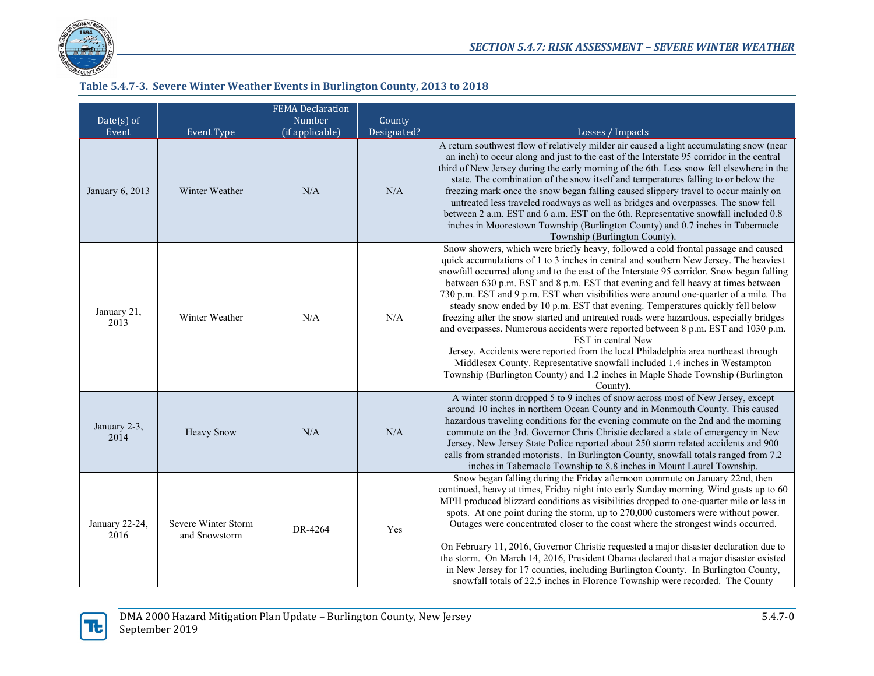

### **Table 5.4.7-3. Severe Winter Weather Events in Burlington County, 2013 to 2018**

<span id="page-5-0"></span>

| $Date(s)$ of<br>Event  | <b>Event Type</b>                    | <b>FEMA Declaration</b><br>Number<br>(if applicable) | County<br>Designated? | Losses / Impacts                                                                                                                                                                                                                                                                                                                                                                                                                                                                                                                                                                                                                                                                                                                                                                                                                                                                                                                                                                                                |
|------------------------|--------------------------------------|------------------------------------------------------|-----------------------|-----------------------------------------------------------------------------------------------------------------------------------------------------------------------------------------------------------------------------------------------------------------------------------------------------------------------------------------------------------------------------------------------------------------------------------------------------------------------------------------------------------------------------------------------------------------------------------------------------------------------------------------------------------------------------------------------------------------------------------------------------------------------------------------------------------------------------------------------------------------------------------------------------------------------------------------------------------------------------------------------------------------|
| January 6, 2013        | Winter Weather                       | N/A                                                  | N/A                   | A return southwest flow of relatively milder air caused a light accumulating snow (near<br>an inch) to occur along and just to the east of the Interstate 95 corridor in the central<br>third of New Jersey during the early morning of the 6th. Less snow fell elsewhere in the<br>state. The combination of the snow itself and temperatures falling to or below the<br>freezing mark once the snow began falling caused slippery travel to occur mainly on<br>untreated less traveled roadways as well as bridges and overpasses. The snow fell<br>between 2 a.m. EST and 6 a.m. EST on the 6th. Representative snowfall included 0.8<br>inches in Moorestown Township (Burlington County) and 0.7 inches in Tabernacle<br>Township (Burlington County).                                                                                                                                                                                                                                                     |
| January 21,<br>2013    | Winter Weather                       | N/A                                                  | N/A                   | Snow showers, which were briefly heavy, followed a cold frontal passage and caused<br>quick accumulations of 1 to 3 inches in central and southern New Jersey. The heaviest<br>snowfall occurred along and to the east of the Interstate 95 corridor. Snow began falling<br>between 630 p.m. EST and 8 p.m. EST that evening and fell heavy at times between<br>730 p.m. EST and 9 p.m. EST when visibilities were around one-quarter of a mile. The<br>steady snow ended by 10 p.m. EST that evening. Temperatures quickly fell below<br>freezing after the snow started and untreated roads were hazardous, especially bridges<br>and overpasses. Numerous accidents were reported between 8 p.m. EST and 1030 p.m.<br>EST in central New<br>Jersey. Accidents were reported from the local Philadelphia area northeast through<br>Middlesex County. Representative snowfall included 1.4 inches in Westampton<br>Township (Burlington County) and 1.2 inches in Maple Shade Township (Burlington<br>County). |
| January 2-3,<br>2014   | <b>Heavy Snow</b>                    | N/A                                                  | N/A                   | A winter storm dropped 5 to 9 inches of snow across most of New Jersey, except<br>around 10 inches in northern Ocean County and in Monmouth County. This caused<br>hazardous traveling conditions for the evening commute on the 2nd and the morning<br>commute on the 3rd. Governor Chris Christie declared a state of emergency in New<br>Jersey. New Jersey State Police reported about 250 storm related accidents and 900<br>calls from stranded motorists. In Burlington County, snowfall totals ranged from 7.2<br>inches in Tabernacle Township to 8.8 inches in Mount Laurel Township.                                                                                                                                                                                                                                                                                                                                                                                                                 |
| January 22-24,<br>2016 | Severe Winter Storm<br>and Snowstorm | DR-4264                                              | Yes                   | Snow began falling during the Friday afternoon commute on January 22nd, then<br>continued, heavy at times, Friday night into early Sunday morning. Wind gusts up to 60<br>MPH produced blizzard conditions as visibilities dropped to one-quarter mile or less in<br>spots. At one point during the storm, up to 270,000 customers were without power.<br>Outages were concentrated closer to the coast where the strongest winds occurred.<br>On February 11, 2016, Governor Christie requested a major disaster declaration due to<br>the storm. On March 14, 2016, President Obama declared that a major disaster existed<br>in New Jersey for 17 counties, including Burlington County. In Burlington County,<br>snowfall totals of 22.5 inches in Florence Township were recorded. The County                                                                                                                                                                                                              |

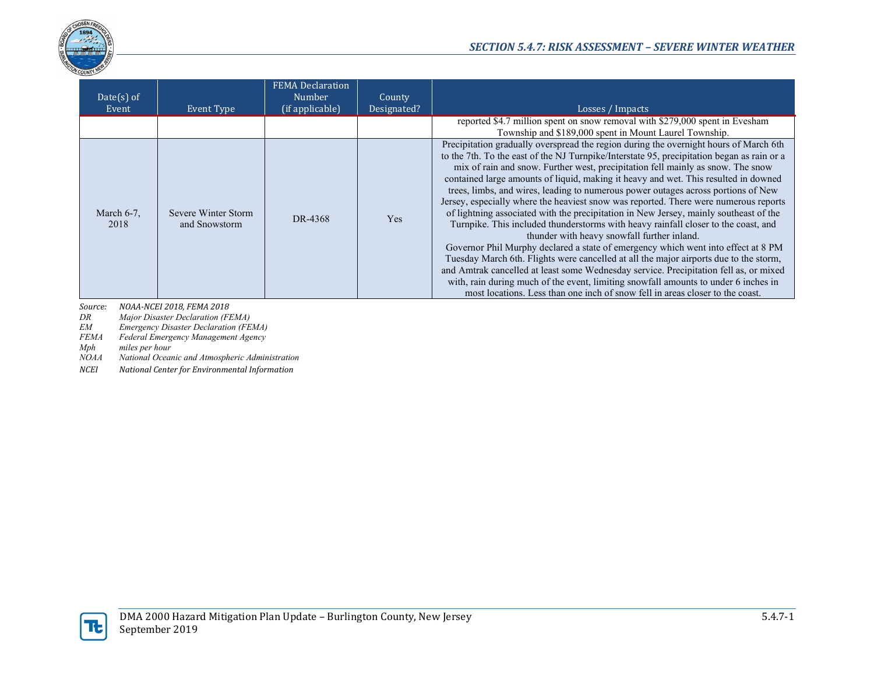

| $Date(s)$ of<br>Event | Event Type                           | <b>FEMA</b> Declaration<br>Number<br>(if applicable) | County<br>Designated? | Losses / Impacts                                                                                                                                                                                                                                                                                                                                                                                                                                                                                                                                                                                                                                                                                                                                                                                                                                                                                                                                                                                                                                                                                                                                                                                                        |
|-----------------------|--------------------------------------|------------------------------------------------------|-----------------------|-------------------------------------------------------------------------------------------------------------------------------------------------------------------------------------------------------------------------------------------------------------------------------------------------------------------------------------------------------------------------------------------------------------------------------------------------------------------------------------------------------------------------------------------------------------------------------------------------------------------------------------------------------------------------------------------------------------------------------------------------------------------------------------------------------------------------------------------------------------------------------------------------------------------------------------------------------------------------------------------------------------------------------------------------------------------------------------------------------------------------------------------------------------------------------------------------------------------------|
|                       |                                      |                                                      |                       | reported \$4.7 million spent on snow removal with \$279,000 spent in Evesham<br>Township and \$189,000 spent in Mount Laurel Township.                                                                                                                                                                                                                                                                                                                                                                                                                                                                                                                                                                                                                                                                                                                                                                                                                                                                                                                                                                                                                                                                                  |
| March $6-7$ ,<br>2018 | Severe Winter Storm<br>and Snowstorm | DR-4368                                              | <b>Yes</b>            | Precipitation gradually overspread the region during the overnight hours of March 6th<br>to the 7th. To the east of the NJ Turnpike/Interstate 95, precipitation began as rain or a<br>mix of rain and snow. Further west, precipitation fell mainly as snow. The snow<br>contained large amounts of liquid, making it heavy and wet. This resulted in downed<br>trees, limbs, and wires, leading to numerous power outages across portions of New<br>Jersey, especially where the heaviest snow was reported. There were numerous reports<br>of lightning associated with the precipitation in New Jersey, mainly southeast of the<br>Turnpike. This included thunderstorms with heavy rainfall closer to the coast, and<br>thunder with heavy snowfall further inland.<br>Governor Phil Murphy declared a state of emergency which went into effect at 8 PM<br>Tuesday March 6th. Flights were cancelled at all the major airports due to the storm,<br>and Amtrak cancelled at least some Wednesday service. Precipitation fell as, or mixed<br>with, rain during much of the event, limiting snowfall amounts to under 6 inches in<br>most locations. Less than one inch of snow fell in areas closer to the coast. |

*Source: NOAA-NCEI 2018, FEMA 2018*

*DR Major Disaster Declaration (FEMA)*

*EM Emergency Disaster Declaration (FEMA)*

*FEMA Federal Emergency Management Agency*

 $miles$  *per hour* 

*NOAA National Oceanic and Atmospheric Administration*

*NCEI National Center for Environmental Information*

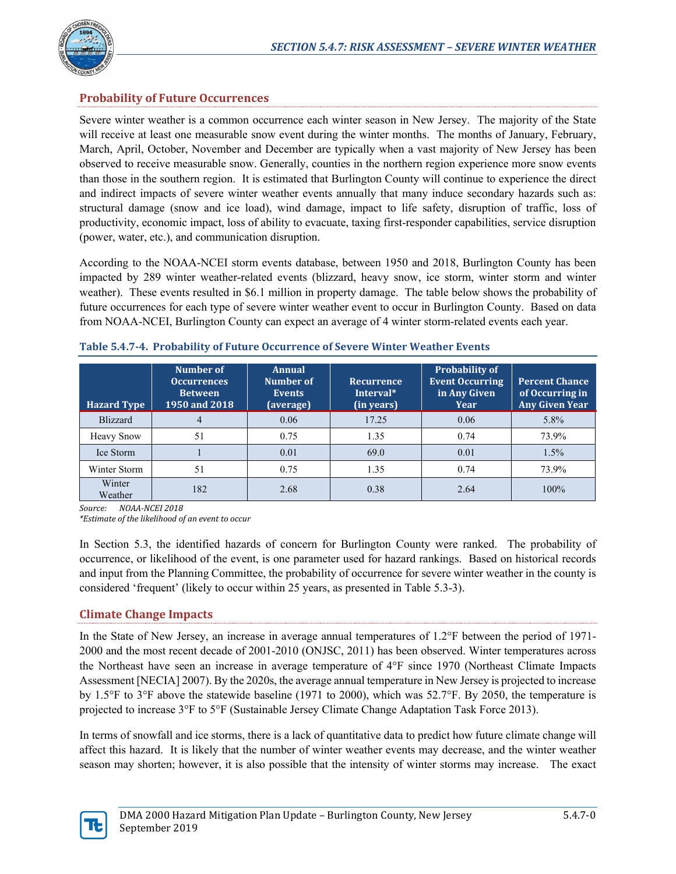

# **Probability of Future Occurrences**

Severe winter weather is a common occurrence each winter season in New Jersey. The majority of the State will receive at least one measurable snow event during the winter months. The months of January, February, March, April, October, November and December are typically when a vast majority of New Jersey has been observed to receive measurable snow. Generally, counties in the northern region experience more snow events than those in the southern region. It is estimated that Burlington County will continue to experience the direct and indirect impacts of severe winter weather events annually that many induce secondary hazards such as: structural damage (snow and ice load), wind damage, impact to life safety, disruption of traffic, loss of productivity, economic impact, loss of ability to evacuate, taxing first-responder capabilities, service disruption (power, water, etc.), and communication disruption.

According to the NOAA-NCEI storm events database, between 1950 and 2018, Burlington County has been impacted by 289 winter weather-related events (blizzard, heavy snow, ice storm, winter storm and winter weather). These events resulted in \$6.1 million in property damage. The table below shows the probability of future occurrences for each type of severe winter weather event to occur in Burlington County. Based on data from NOAA-NCEI, Burlington County can expect an average of 4 winter storm-related events each year.

| <b>Hazard Type</b> | Number of<br><b>Occurrences</b><br><b>Between</b><br>1950 and 2018 | Annual<br>Number of<br><b>Events</b><br>(average) | Recurrence<br>Interval*<br>(in years) | <b>Probability of</b><br><b>Event Occurring</b><br>in Any Given<br><b>Year</b> | <b>Percent Chance</b><br>of Occurring in<br><b>Any Given Year</b> |
|--------------------|--------------------------------------------------------------------|---------------------------------------------------|---------------------------------------|--------------------------------------------------------------------------------|-------------------------------------------------------------------|
| <b>Blizzard</b>    |                                                                    | 0.06                                              | 17.25                                 | 0.06                                                                           | 5.8%                                                              |
| <b>Heavy Snow</b>  | 51                                                                 | 0.75                                              | 1.35                                  | 0.74                                                                           | 73.9%                                                             |
| Ice Storm          |                                                                    | 0.01                                              | 69.0                                  | 0.01                                                                           | 1.5%                                                              |
| Winter Storm       | 51                                                                 | 0.75                                              | 1.35                                  | 0.74                                                                           | 73.9%                                                             |
| Winter<br>Weather  | 182                                                                | 2.68                                              | 0.38                                  | 2.64                                                                           | 100%                                                              |

#### **Table 5.4.7-4. Probability of Future Occurrence of Severe Winter Weather Events**

*Source: NOAA-NCEI 2018*

*\*Estimate of the likelihood of an event to occur*

In Section 5.3, the identified hazards of concern for Burlington County were ranked. The probability of occurrence, or likelihood of the event, is one parameter used for hazard rankings. Based on historical records and input from the Planning Committee, the probability of occurrence for severe winter weather in the county is considered 'frequent' (likely to occur within 25 years, as presented in Table 5.3-3).

# **Climate Change Impacts**

In the State of New Jersey, an increase in average annual temperatures of 1.2°F between the period of 1971- 2000 and the most recent decade of 2001-2010 (ONJSC, 2011) has been observed. Winter temperatures across the Northeast have seen an increase in average temperature of 4°F since 1970 (Northeast Climate Impacts Assessment [NECIA] 2007). By the 2020s, the average annual temperature in New Jersey is projected to increase by 1.5°F to 3°F above the statewide baseline (1971 to 2000), which was 52.7°F. By 2050, the temperature is projected to increase 3°F to 5°F (Sustainable Jersey Climate Change Adaptation Task Force 2013).

In terms of snowfall and ice storms, there is a lack of quantitative data to predict how future climate change will affect this hazard. It is likely that the number of winter weather events may decrease, and the winter weather season may shorten; however, it is also possible that the intensity of winter storms may increase. The exact

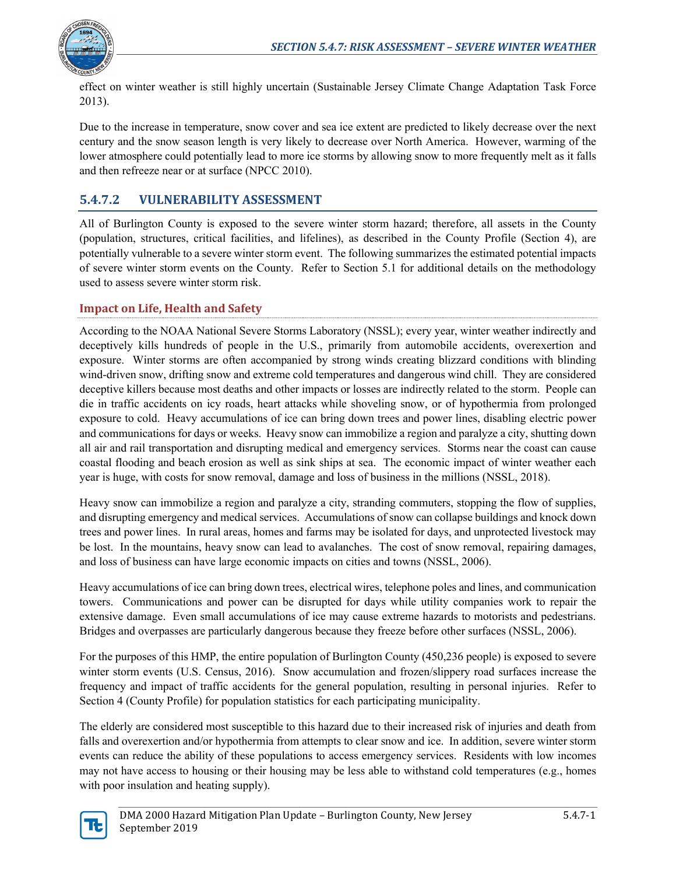

effect on winter weather is still highly uncertain (Sustainable Jersey Climate Change Adaptation Task Force 2013).

Due to the increase in temperature, snow cover and sea ice extent are predicted to likely decrease over the next century and the snow season length is very likely to decrease over North America. However, warming of the lower atmosphere could potentially lead to more ice storms by allowing snow to more frequently melt as it falls and then refreeze near or at surface (NPCC 2010).

# **5.4.7.2 VULNERABILITY ASSESSMENT**

All of Burlington County is exposed to the severe winter storm hazard; therefore, all assets in the County (population, structures, critical facilities, and lifelines), as described in the County Profile (Section 4), are potentially vulnerable to a severe winter storm event. The following summarizes the estimated potential impacts of severe winter storm events on the County. Refer to Section 5.1 for additional details on the methodology used to assess severe winter storm risk.

# **Impact on Life, Health and Safety**

According to the NOAA National Severe Storms Laboratory (NSSL); every year, winter weather indirectly and deceptively kills hundreds of people in the U.S., primarily from automobile accidents, overexertion and exposure. Winter storms are often accompanied by strong winds creating blizzard conditions with blinding wind-driven snow, drifting snow and extreme cold temperatures and dangerous wind chill. They are considered deceptive killers because most deaths and other impacts or losses are indirectly related to the storm. People can die in traffic accidents on icy roads, heart attacks while shoveling snow, or of hypothermia from prolonged exposure to cold. Heavy accumulations of ice can bring down trees and power lines, disabling electric power and communications for days or weeks. Heavy snow can immobilize a region and paralyze a city, shutting down all air and rail transportation and disrupting medical and emergency services. Storms near the coast can cause coastal flooding and beach erosion as well as sink ships at sea. The economic impact of winter weather each year is huge, with costs for snow removal, damage and loss of business in the millions (NSSL, 2018).

Heavy snow can immobilize a region and paralyze a city, stranding commuters, stopping the flow of supplies, and disrupting emergency and medical services. Accumulations of snow can collapse buildings and knock down trees and power lines. In rural areas, homes and farms may be isolated for days, and unprotected livestock may be lost. In the mountains, heavy snow can lead to avalanches. The cost of snow removal, repairing damages, and loss of business can have large economic impacts on cities and towns (NSSL, 2006).

Heavy accumulations of ice can bring down trees, electrical wires, telephone poles and lines, and communication towers. Communications and power can be disrupted for days while utility companies work to repair the extensive damage. Even small accumulations of ice may cause extreme hazards to motorists and pedestrians. Bridges and overpasses are particularly dangerous because they freeze before other surfaces (NSSL, 2006).

For the purposes of this HMP, the entire population of Burlington County (450,236 people) is exposed to severe winter storm events (U.S. Census, 2016). Snow accumulation and frozen/slippery road surfaces increase the frequency and impact of traffic accidents for the general population, resulting in personal injuries. Refer to Section 4 (County Profile) for population statistics for each participating municipality.

The elderly are considered most susceptible to this hazard due to their increased risk of injuries and death from falls and overexertion and/or hypothermia from attempts to clear snow and ice. In addition, severe winter storm events can reduce the ability of these populations to access emergency services. Residents with low incomes may not have access to housing or their housing may be less able to withstand cold temperatures (e.g., homes with poor insulation and heating supply).

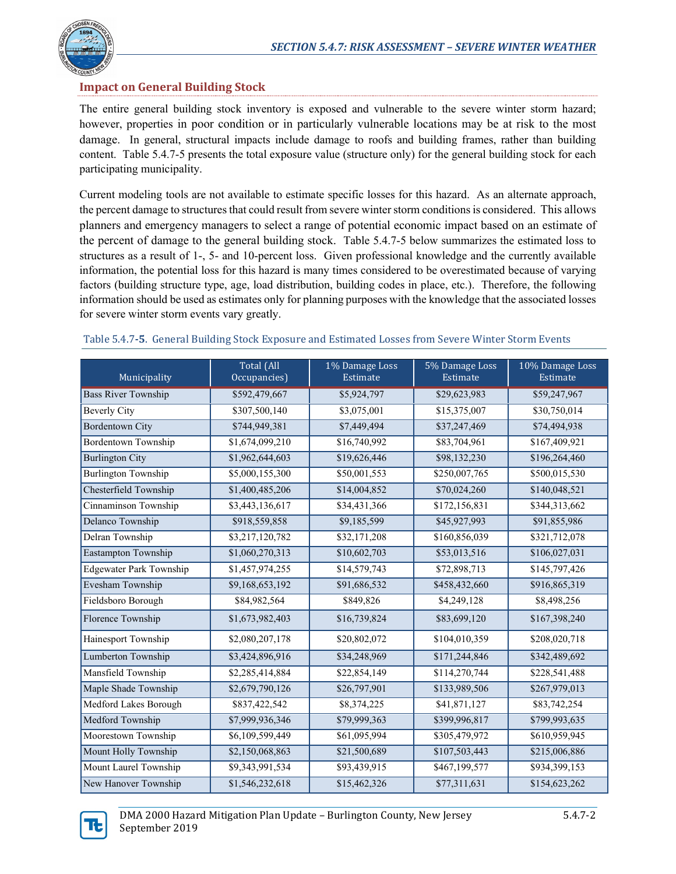

# **Impact on General Building Stock**

The entire general building stock inventory is exposed and vulnerable to the severe winter storm hazard; however, properties in poor condition or in particularly vulnerable locations may be at risk to the most damage. In general, structural impacts include damage to roofs and building frames, rather than building content. [Table 5.4.7-5](#page-9-0) presents the total exposure value (structure only) for the general building stock for each participating municipality.

Current modeling tools are not available to estimate specific losses for this hazard. As an alternate approach, the percent damage to structures that could result from severe winter storm conditions is considered. This allows planners and emergency managers to select a range of potential economic impact based on an estimate of the percent of damage to the general building stock. [Table 5.4.7-5](#page-9-0) below summarizes the estimated loss to structures as a result of 1-, 5- and 10-percent loss. Given professional knowledge and the currently available information, the potential loss for this hazard is many times considered to be overestimated because of varying factors (building structure type, age, load distribution, building codes in place, etc.). Therefore, the following information should be used as estimates only for planning purposes with the knowledge that the associated losses for severe winter storm events vary greatly.

<span id="page-9-0"></span>

| Municipality                   | Total (All<br>Occupancies) | 1% Damage Loss<br>Estimate | 5% Damage Loss<br>Estimate | 10% Damage Loss<br>Estimate |
|--------------------------------|----------------------------|----------------------------|----------------------------|-----------------------------|
| <b>Bass River Township</b>     | \$592,479,667              | \$5,924,797                | \$29,623,983               | \$59,247,967                |
| <b>Beverly City</b>            | \$307,500,140              | \$3,075,001                | \$15,375,007               | \$30,750,014                |
| <b>Bordentown City</b>         | \$744,949,381              | \$7,449,494                | \$37,247,469               | \$74,494,938                |
| <b>Bordentown Township</b>     | \$1,674,099,210            | \$16,740,992               | \$83,704,961               | \$167,409,921               |
| <b>Burlington City</b>         | \$1,962,644,603            | \$19,626,446               | \$98,132,230               | \$196,264,460               |
| <b>Burlington Township</b>     | \$5,000,155,300            | \$50,001,553               | \$250,007,765              | \$500,015,530               |
| Chesterfield Township          | \$1,400,485,206            | \$14,004,852               | \$70,024,260               | \$140,048,521               |
| Cinnaminson Township           | \$3,443,136,617            | \$34,431,366               | \$172,156,831              | \$344,313,662               |
| Delanco Township               | \$918,559,858              | \$9,185,599                | \$45,927,993               | \$91,855,986                |
| Delran Township                | \$3,217,120,782            | \$32,171,208               | \$160,856,039              | \$321,712,078               |
| Eastampton Township            | \$1,060,270,313            | \$10,602,703               | \$53,013,516               | \$106,027,031               |
| <b>Edgewater Park Township</b> | \$1,457,974,255            | \$14,579,743               | \$72,898,713               | \$145,797,426               |
| Evesham Township               | \$9,168,653,192            | \$91,686,532               | \$458,432,660              | \$916,865,319               |
| Fieldsboro Borough             | \$84,982,564               | \$849,826                  | \$4,249,128                | \$8,498,256                 |
| Florence Township              | \$1,673,982,403            | \$16,739,824               | \$83,699,120               | \$167,398,240               |
| Hainesport Township            | \$2,080,207,178            | \$20,802,072               | \$104,010,359              | \$208,020,718               |
| Lumberton Township             | \$3,424,896,916            | \$34,248,969               | \$171,244,846              | \$342,489,692               |
| Mansfield Township             | \$2,285,414,884            | \$22,854,149               | \$114,270,744              | \$228,541,488               |
| Maple Shade Township           | \$2,679,790,126            | \$26,797,901               | \$133,989,506              | \$267,979,013               |
| Medford Lakes Borough          | \$837,422,542              | \$8,374,225                | \$41,871,127               | \$83,742,254                |
| Medford Township               | \$7,999,936,346            | \$79,999,363               | \$399,996,817              | \$799,993,635               |
| Moorestown Township            | \$6,109,599,449            | \$61,095,994               | \$305,479,972              | \$610,959,945               |
| Mount Holly Township           | \$2,150,068,863            | \$21,500,689               | \$107,503,443              | \$215,006,886               |
| Mount Laurel Township          | \$9,343,991,534            | \$93,439,915               | \$467,199,577              | \$934,399,153               |
| New Hanover Township           | \$1,546,232,618            | \$15,462,326               | \$77,311,631               | \$154,623,262               |

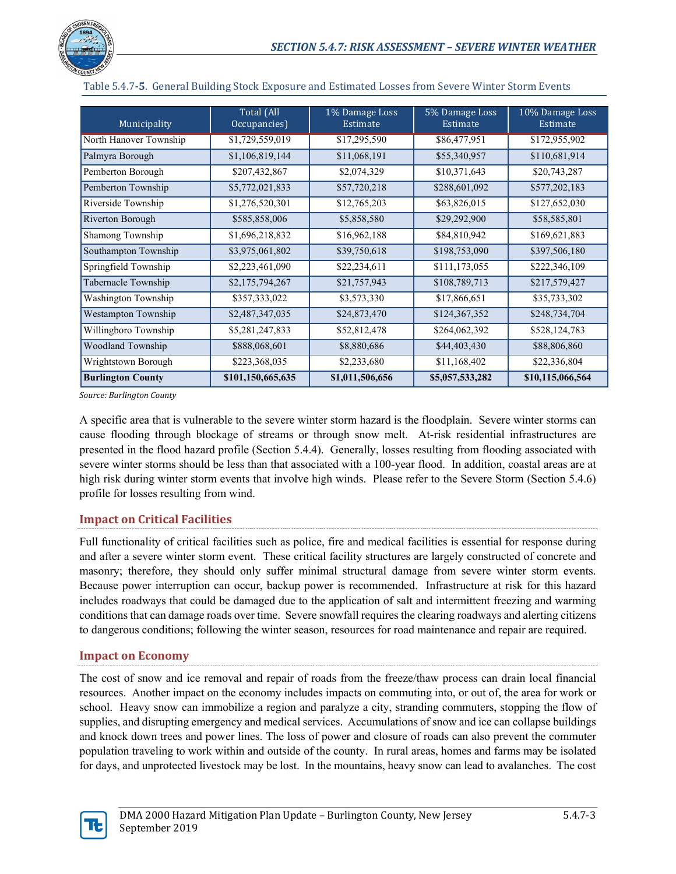

| Municipality             | Total (All<br>Occupancies) | 1% Damage Loss<br>Estimate | 5% Damage Loss<br>Estimate | 10% Damage Loss<br>Estimate |
|--------------------------|----------------------------|----------------------------|----------------------------|-----------------------------|
| North Hanover Township   | \$1,729,559,019            | \$17,295,590               | \$86,477,951               | \$172,955,902               |
| Palmyra Borough          | \$1,106,819,144            | \$11,068,191               | \$55,340,957               | \$110,681,914               |
| Pemberton Borough        | \$207,432,867              | \$2,074,329                | \$10,371,643               | \$20,743,287                |
| Pemberton Township       | \$5,772,021,833            | \$57,720,218               | \$288,601,092              | \$577,202,183               |
| Riverside Township       | \$1,276,520,301            | \$12,765,203               | \$63,826,015               | \$127,652,030               |
| Riverton Borough         | \$585,858,006              | \$5,858,580                | \$29,292,900               | \$58,585,801                |
| Shamong Township         | \$1,696,218,832            | \$16,962,188               | \$84,810,942               | \$169,621,883               |
| Southampton Township     | \$3,975,061,802            | \$39,750,618               | \$198,753,090              | \$397,506,180               |
| Springfield Township     | \$2,223,461,090            | \$22,234,611               | \$111,173,055              | \$222,346,109               |
| Tabernacle Township      | \$2,175,794,267            | \$21,757,943               | \$108,789,713              | \$217,579,427               |
| Washington Township      | \$357,333,022              | \$3,573,330                | \$17,866,651               | \$35,733,302                |
| Westampton Township      | \$2,487,347,035            | \$24,873,470               | \$124,367,352              | \$248,734,704               |
| Willingboro Township     | \$5,281,247,833            | \$52,812,478               | \$264,062,392              | \$528,124,783               |
| Woodland Township        | \$888,068,601              | \$8,880,686                | \$44,403,430               | \$88,806,860                |
| Wrightstown Borough      | \$223,368,035              | \$2,233,680                | \$11,168,402               | \$22,336,804                |
| <b>Burlington County</b> | \$101,150,665,635          | \$1,011,506,656            | \$5,057,533,282            | \$10,115,066,564            |

Table 5.4.7**-5**. General Building Stock Exposure and Estimated Losses from Severe Winter Storm Events

*Source: Burlington County*

A specific area that is vulnerable to the severe winter storm hazard is the floodplain. Severe winter storms can cause flooding through blockage of streams or through snow melt. At-risk residential infrastructures are presented in the flood hazard profile (Section 5.4.4). Generally, losses resulting from flooding associated with severe winter storms should be less than that associated with a 100-year flood. In addition, coastal areas are at high risk during winter storm events that involve high winds. Please refer to the Severe Storm (Section 5.4.6) profile for losses resulting from wind.

# **Impact on Critical Facilities**

Full functionality of critical facilities such as police, fire and medical facilities is essential for response during and after a severe winter storm event. These critical facility structures are largely constructed of concrete and masonry; therefore, they should only suffer minimal structural damage from severe winter storm events. Because power interruption can occur, backup power is recommended. Infrastructure at risk for this hazard includes roadways that could be damaged due to the application of salt and intermittent freezing and warming conditions that can damage roads over time. Severe snowfall requires the clearing roadways and alerting citizens to dangerous conditions; following the winter season, resources for road maintenance and repair are required.

### **Impact on Economy**

The cost of snow and ice removal and repair of roads from the freeze/thaw process can drain local financial resources. Another impact on the economy includes impacts on commuting into, or out of, the area for work or school. Heavy snow can immobilize a region and paralyze a city, stranding commuters, stopping the flow of supplies, and disrupting emergency and medical services. Accumulations of snow and ice can collapse buildings and knock down trees and power lines. The loss of power and closure of roads can also prevent the commuter population traveling to work within and outside of the county. In rural areas, homes and farms may be isolated for days, and unprotected livestock may be lost. In the mountains, heavy snow can lead to avalanches. The cost